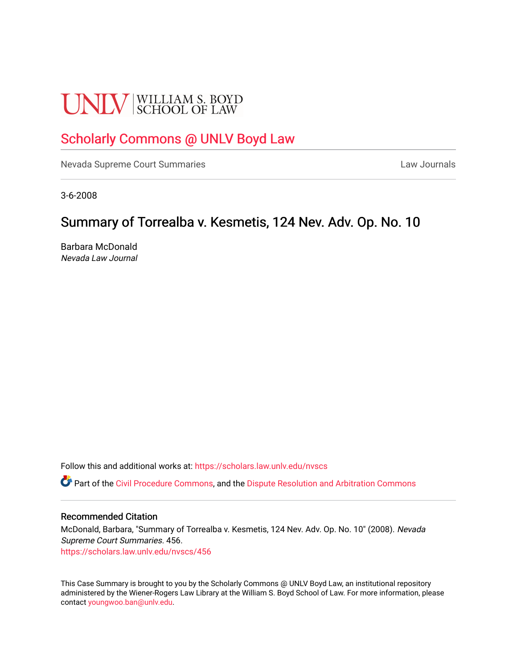# **UNLV** SCHOOL OF LAW

# [Scholarly Commons @ UNLV Boyd Law](https://scholars.law.unlv.edu/)

[Nevada Supreme Court Summaries](https://scholars.law.unlv.edu/nvscs) **Law Journals** Law Journals

3-6-2008

# Summary of Torrealba v. Kesmetis, 124 Nev. Adv. Op. No. 10

Barbara McDonald Nevada Law Journal

Follow this and additional works at: [https://scholars.law.unlv.edu/nvscs](https://scholars.law.unlv.edu/nvscs?utm_source=scholars.law.unlv.edu%2Fnvscs%2F456&utm_medium=PDF&utm_campaign=PDFCoverPages)

**C** Part of the [Civil Procedure Commons,](http://network.bepress.com/hgg/discipline/584?utm_source=scholars.law.unlv.edu%2Fnvscs%2F456&utm_medium=PDF&utm_campaign=PDFCoverPages) and the Dispute Resolution and Arbitration Commons

## Recommended Citation

McDonald, Barbara, "Summary of Torrealba v. Kesmetis, 124 Nev. Adv. Op. No. 10" (2008). Nevada Supreme Court Summaries. 456. [https://scholars.law.unlv.edu/nvscs/456](https://scholars.law.unlv.edu/nvscs/456?utm_source=scholars.law.unlv.edu%2Fnvscs%2F456&utm_medium=PDF&utm_campaign=PDFCoverPages)

This Case Summary is brought to you by the Scholarly Commons @ UNLV Boyd Law, an institutional repository administered by the Wiener-Rogers Law Library at the William S. Boyd School of Law. For more information, please contact [youngwoo.ban@unlv.edu](mailto:youngwoo.ban@unlv.edu).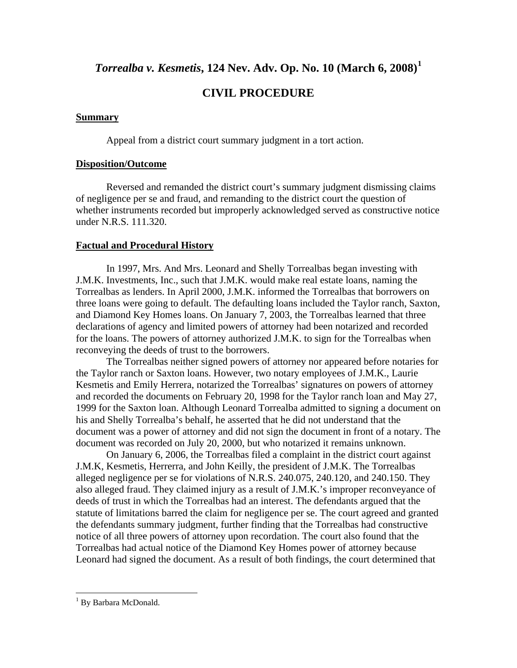*Torrealba v. Kesmetis***, 124 Nev. Adv. Op. No. 10 (March 6, 2008)[1](#page-1-0)**

# **CIVIL PROCEDURE**

# **Summary**

Appeal from a district court summary judgment in a tort action.

# **Disposition/Outcome**

 Reversed and remanded the district court's summary judgment dismissing claims of negligence per se and fraud, and remanding to the district court the question of whether instruments recorded but improperly acknowledged served as constructive notice under N.R.S. 111.320.

# **Factual and Procedural History**

 In 1997, Mrs. And Mrs. Leonard and Shelly Torrealbas began investing with J.M.K. Investments, Inc., such that J.M.K. would make real estate loans, naming the Torrealbas as lenders. In April 2000, J.M.K. informed the Torrealbas that borrowers on three loans were going to default. The defaulting loans included the Taylor ranch, Saxton, and Diamond Key Homes loans. On January 7, 2003, the Torrealbas learned that three declarations of agency and limited powers of attorney had been notarized and recorded for the loans. The powers of attorney authorized J.M.K. to sign for the Torrealbas when reconveying the deeds of trust to the borrowers.

 The Torrealbas neither signed powers of attorney nor appeared before notaries for the Taylor ranch or Saxton loans. However, two notary employees of J.M.K., Laurie Kesmetis and Emily Herrera, notarized the Torrealbas' signatures on powers of attorney and recorded the documents on February 20, 1998 for the Taylor ranch loan and May 27, 1999 for the Saxton loan. Although Leonard Torrealba admitted to signing a document on his and Shelly Torrealba's behalf, he asserted that he did not understand that the document was a power of attorney and did not sign the document in front of a notary. The document was recorded on July 20, 2000, but who notarized it remains unknown.

On January 6, 2006, the Torrealbas filed a complaint in the district court against J.M.K, Kesmetis, Herrerra, and John Keilly, the president of J.M.K. The Torrealbas alleged negligence per se for violations of N.R.S. 240.075, 240.120, and 240.150. They also alleged fraud. They claimed injury as a result of J.M.K.'s improper reconveyance of deeds of trust in which the Torrealbas had an interest. The defendants argued that the statute of limitations barred the claim for negligence per se. The court agreed and granted the defendants summary judgment, further finding that the Torrealbas had constructive notice of all three powers of attorney upon recordation. The court also found that the Torrealbas had actual notice of the Diamond Key Homes power of attorney because Leonard had signed the document. As a result of both findings, the court determined that

 $\overline{a}$ 

<span id="page-1-0"></span><sup>&</sup>lt;sup>1</sup> By Barbara McDonald.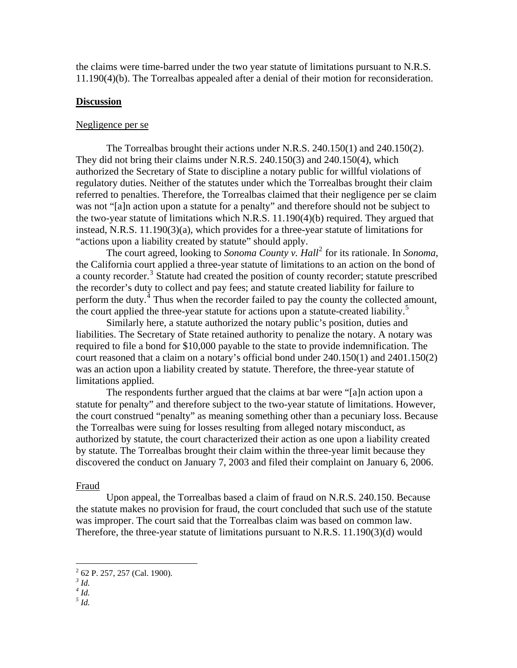the claims were time-barred under the two year statute of limitations pursuant to N.R.S. 11.190(4)(b). The Torrealbas appealed after a denial of their motion for reconsideration.

## **Discussion**

## Negligence per se

 The Torrealbas brought their actions under N.R.S. 240.150(1) and 240.150(2). They did not bring their claims under N.R.S. 240.150(3) and 240.150(4), which authorized the Secretary of State to discipline a notary public for willful violations of regulatory duties. Neither of the statutes under which the Torrealbas brought their claim referred to penalties. Therefore, the Torrealbas claimed that their negligence per se claim was not "[a]n action upon a statute for a penalty" and therefore should not be subject to the two-year statute of limitations which N.R.S. 11.190(4)(b) required. They argued that instead, N.R.S. 11.190(3)(a), which provides for a three-year statute of limitations for "actions upon a liability created by statute" should apply.

The court agreed, looking to *Sonoma County v. Hall*<sup>[2](#page-2-0)</sup> for its rationale. In *Sonoma*, the California court applied a three-year statute of limitations to an action on the bond of a county recorder.<sup>[3](#page-2-1)</sup> Statute had created the position of county recorder; statute prescribed the recorder's duty to collect and pay fees; and statute created liability for failure to perform the duty. $4$  Thus when the recorder failed to pay the county the collected amount, the court applied the three-year statute for actions upon a statute-created liability.<sup>[5](#page-2-3)</sup>

 [Similarly here, a statute authorized the notary public's position, duties and](#page-2-3)  [liabilities. The Secretary of State retained authority to penalize the notary. A notary was](#page-2-3)  [required to file a bond for \\$10,000 payable to the state to provide indemnification. The](#page-2-3)  [court reasoned that a claim on a notary's official bond under 240.150\(1\) and 2401.150\(2\)](#page-2-3)  [was an action upon a liability created by statute. Therefore, the three-year statute of](#page-2-3)  [limitations applied.](#page-2-3) 

 The respondents further argued that the claims at bar were "[a]n action upon a statute for penalty" and therefore subject to the two-year statute of limitations. However, the court construed "penalty" as meaning something other than a pecuniary loss. Because the Torrealbas were suing for losses resulting from alleged notary misconduct, as authorized by statute, the court characterized their action as one upon a liability created by statute. The Torrealbas brought their claim within the three-year limit because they discovered the conduct on January 7, 2003 and filed their complaint on January 6, 2006.

#### Fraud

Upon appeal, the Torrealbas based a claim of fraud on N.R.S. 240.150. Because the statute makes no provision for fraud, the court concluded that such use of the statute was improper. The court said that the Torrealbas claim was based on common law. Therefore, the three-year statute of limitations pursuant to N.R.S. 11.190(3)(d) would

 $\overline{a}$ 

 $2^2$  62 P. 257, 257 (Cal. 1900).

<span id="page-2-2"></span><span id="page-2-1"></span><span id="page-2-0"></span>*<sup>3</sup> Id.* 

<span id="page-2-3"></span> $^{4}$  *Id.* 

*<sup>5</sup> Id.*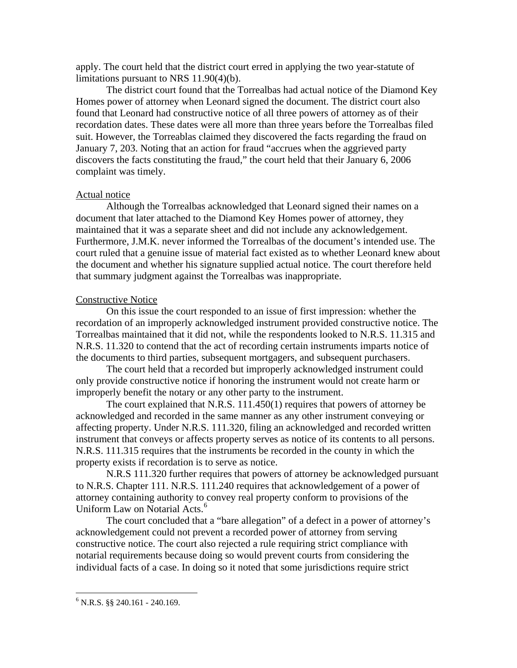apply. The court held that the district court erred in applying the two year-statute of limitations pursuant to NRS 11.90(4)(b).

 The district court found that the Torrealbas had actual notice of the Diamond Key Homes power of attorney when Leonard signed the document. The district court also found that Leonard had constructive notice of all three powers of attorney as of their recordation dates. These dates were all more than three years before the Torrealbas filed suit. However, the Torreablas claimed they discovered the facts regarding the fraud on January 7, 203. Noting that an action for fraud "accrues when the aggrieved party discovers the facts constituting the fraud," the court held that their January 6, 2006 complaint was timely.

## Actual notice

 Although the Torrealbas acknowledged that Leonard signed their names on a document that later attached to the Diamond Key Homes power of attorney, they maintained that it was a separate sheet and did not include any acknowledgement. Furthermore, J.M.K. never informed the Torrealbas of the document's intended use. The court ruled that a genuine issue of material fact existed as to whether Leonard knew about the document and whether his signature supplied actual notice. The court therefore held that summary judgment against the Torrealbas was inappropriate.

#### Constructive Notice

 On this issue the court responded to an issue of first impression: whether the recordation of an improperly acknowledged instrument provided constructive notice. The Torrealbas maintained that it did not, while the respondents looked to N.R.S. 11.315 and N.R.S. 11.320 to contend that the act of recording certain instruments imparts notice of the documents to third parties, subsequent mortgagers, and subsequent purchasers.

 The court held that a recorded but improperly acknowledged instrument could only provide constructive notice if honoring the instrument would not create harm or improperly benefit the notary or any other party to the instrument.

 The court explained that N.R.S. 111.450(1) requires that powers of attorney be acknowledged and recorded in the same manner as any other instrument conveying or affecting property. Under N.R.S. 111.320, filing an acknowledged and recorded written instrument that conveys or affects property serves as notice of its contents to all persons. N.R.S. 111.315 requires that the instruments be recorded in the county in which the property exists if recordation is to serve as notice.

 N.R.S 111.320 further requires that powers of attorney be acknowledged pursuant to N.R.S. Chapter 111. N.R.S. 111.240 requires that acknowledgement of a power of attorney containing authority to convey real property conform to provisions of the Uniform Law on Notarial Acts.<sup>[6](#page-3-0)</sup>

 The court concluded that a "bare allegation" of a defect in a power of attorney's acknowledgement could not prevent a recorded power of attorney from serving constructive notice. The court also rejected a rule requiring strict compliance with notarial requirements because doing so would prevent courts from considering the individual facts of a case. In doing so it noted that some jurisdictions require strict

<u>.</u>

<span id="page-3-0"></span> $6$  N.R.S. §§ 240.161 - 240.169.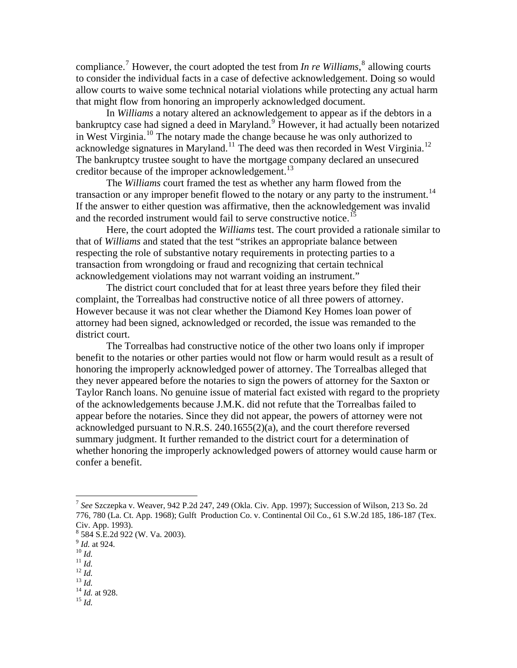compliance.[7](#page-4-0) However, the court adopted the test from *In re Williams*, [8](#page-4-1) allowing courts to consider the individual facts in a case of defective acknowledgement. Doing so woul d allow courts to waive some technical notarial violations while protecting any actual harm that might flow from honoring an improperly acknowledged document.

 In *Williams* a notary altered an acknowledgement to appear as if the debtors in a bankruptcy case had signed a deed in Maryland.<sup>[9](#page-4-2)</sup> However, it had actually been notarized in West Virginia.[10](#page-4-3) The notary made the change because he was only authorized to acknowledge signatures in Maryland.<sup>[11](#page-4-4)</sup> The deed was then recorded in West Virginia.<sup>[12](#page-4-5)</sup> The bankruptcy trustee sought to have the mortgage company declared an unsecured creditor because of the improper acknowledgement.<sup>[13](#page-4-6)</sup>

 The *Williams* court framed the test as whether any harm flowed from the transaction or any improper benefit flowed to the notary or any party to the instrument.<sup>[14](#page-4-7)</sup> If the answer to either question was affirmative, then the acknowledgement was invalid and the recorded instrument would fail to serve constructive notice.<sup>[15](#page-4-8)</sup>

 Here, the court adopted the *Williams* test. The court provided a rationale similar to that of *Williams* and stated that the test "strikes an appropriate balance between respecting the role of substantive notary requirements in protecting parties to a transaction from wrongdoing or fraud and recognizing that certain technical acknowledgement violations may not warrant voiding an instrument."

 The district court concluded that for at least three years before they filed their complaint, the Torrealbas had constructive notice of all three powers of attorney. However because it was not clear whether the Diamond Key Homes loan power of attorney had been signed, acknowledged or recorded, the issue was remanded to the district court.

 The Torrealbas had constructive notice of the other two loans only if improper benefit to the notaries or other parties would not flow or harm would result as a result of honoring the improperly acknowledged power of attorney. The Torrealbas alleged that they never appeared before the notaries to sign the powers of attorney for the Saxton or Taylor Ranch loans. No genuine issue of material fact existed with regard to the propriety of the acknowledgements because J.M.K. did not refute that the Torrealbas failed to appear before the notaries. Since they did not appear, the powers of attorney were not acknowledged pursuant to N.R.S. 240.1655(2)(a), and the court therefore reversed summary judgment. It further remanded to the district court for a determination of whether honoring the improperly acknowledged powers of attorney would cause harm or confer a benefit.

 $\overline{a}$ 

- <span id="page-4-6"></span>
- 
- <span id="page-4-8"></span><span id="page-4-7"></span>

<span id="page-4-0"></span><sup>7</sup> *See* Szczepka v. Weaver, 942 P.2d 247, 249 (Okla. Civ. App. 1997); Succession of Wilson, 213 So. 2d 776, 780 (La. Ct. App. 1968); Gulft Production Co. v. Continental Oil Co., 61 S.W.2d 185, 186-187 (Tex. Civ. App. 1993).

<sup>8</sup> 584 S.E.2d 922 (W. Va. 2003).

<span id="page-4-3"></span><span id="page-4-2"></span><span id="page-4-1"></span><sup>9</sup> *Id.* at 924.<br>
<sup>10</sup> *Id.*<br>
<sup>11</sup> *Id.*<br>
<sup>12</sup> *Id.*<br>
<sup>14</sup> *Id.* at 928.<br>
<sup>15</sup> *Id.* 

<span id="page-4-5"></span><span id="page-4-4"></span>